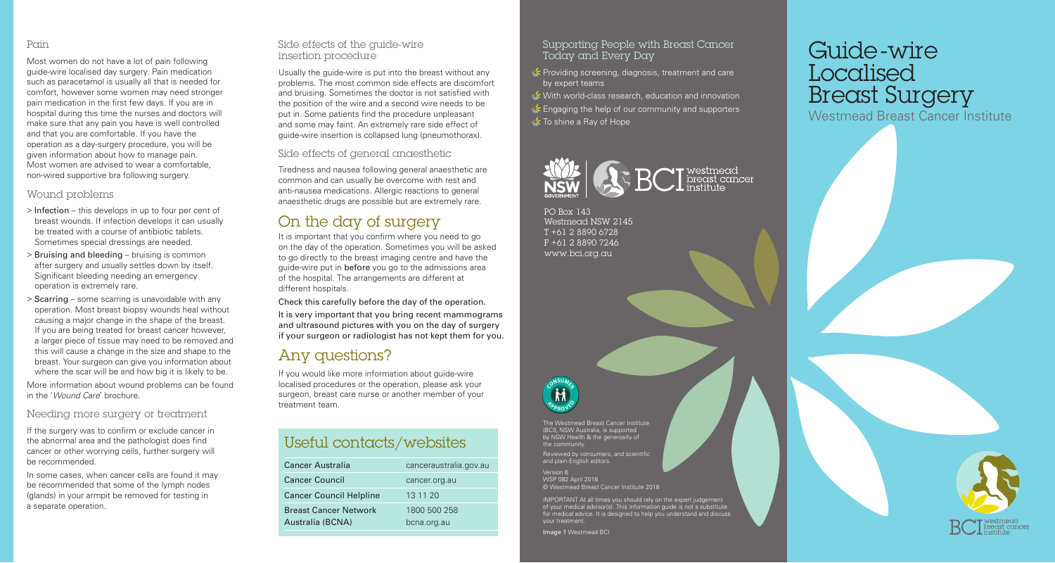#### Pain

Most women do not have a lot of pain following guide-wire localised day surgery. Pain medication such as paracetamol is usually all that is needed for comfort, however some women may need stronger pain medication in the first few days. If you are in hospital during this time the nurses and doctors will make sure that any pain you have is well controlled and that you are comfortable. If you have the operation as a day-surgery procedure, you will be given information about how to manage pain. Most women are advised to wear a comfortable, non-wired supportive bra following surgery.

### Wound problems

- > Infection this develops in up to four per cent of breast wounds. If infection develops it can usually be treated with a course of antibiotic tablets. Sometimes special dressings are needed.
- > Bruising and bleeding bruising is common after surgery and usually settles down by itself. Significant bleeding needing an emergency operation is extremely rare.
- > Scarring some scarring is unavoidable with any operation. Most breast biopsy wounds heal without causing a major change in the shape of the breast. If you are being treated for breast cancer however, a larger piece of tissue may need to be removed and this will cause a change in the size and shape to the breast. Your surgeon can give you information about where the scar will be and how big it is likely to be.

More information about wound problems can be found in the '*Wound Care*' brochure.

### Needing more surgery or treatment

If the surgery was to confirm or exclude cancer in the abnormal area and the pathologist does find cancer or other worrying cells, further surgery will be recommended.

In some cases, when cancer cells are found it may be recommended that some of the lymph nodes (glands) in your armpit be removed for testing in a separate operation.

### Side effects of the guide-wire insertion procedure

Usually the guide-wire is put into the breast without any problems. The most common side effects are discomfort and bruising. Sometimes the doctor is not satisfied with the position of the wire and a second wire needs to be put in. Some patients find the procedure unpleasant and some may faint. An extremely rare side effect of guide-wire insertion is collapsed lung (pneumothorax).

Side effects of general anaesthetic

Tiredness and nausea following general anaesthetic are common and can usually be overcome with rest and anti-nausea medications. Allergic reactions to general anaesthetic drugs are possible but are extremely rare.

# On the day of surgery

It is important that you confirm where you need to go on the day of the operation. Sometimes you will be asked to go directly to the breast imaging centre and have the guide-wire put in before you go to the admissions area of the hospital. The arrangements are different at different hospitals.

Check this carefully before the day of the operation.

It is very important that you bring recent mammograms and ultrasound pictures with you on the day of surgery if your surgeon or radiologist has not kept them for you.

## Any questions?

If you would like more information about guide-wire localised procedures or the operation, please ask your surgeon, breast care nurse or another member of your treatment team.

# Useful contacts/websites

| <b>Cancer Australia</b>        | canceraustralia.gov.au |
|--------------------------------|------------------------|
| <b>Cancer Council</b>          | cancer.org.au          |
| <b>Cancer Council Helpline</b> | 13 11 20               |
| <b>Breast Cancer Network</b>   | 1800 500 258           |
| Australia (BCNA)               | bcna.org.au            |

### Supporting People with Breast Cancer Today and Every Day

Providing screening, diagnosis, treatment and care by expert teams

**★** With world-class research, education and innovation **Engaging the help of our community and supporters** To shine a Ray of Hope



PO Box 143 Westmead NSW 2145 T +61 2 8890 6728 F +61 2 8890 7246 www.bci.org.au



The Westmead Breast Cancer Institute (BCI), NSW Australia, is supported by NSW Health & the generosity of Reviewed by consumers, and scientific and plain-English editors.

Version 6 WSP 082 April 2018 © Westmead Breast Cancer Institute 2018

IMPORTANT At all times you should rely on the expert judgement of your medical advisor(s). This information guide is not a substitute for medical advice. It is designed to help you understand and discuss your treatment.

Image 1 Westmead BCI

# Guide-wire Localised **Breast Surgery**

Westmead Breast Cancer Institute